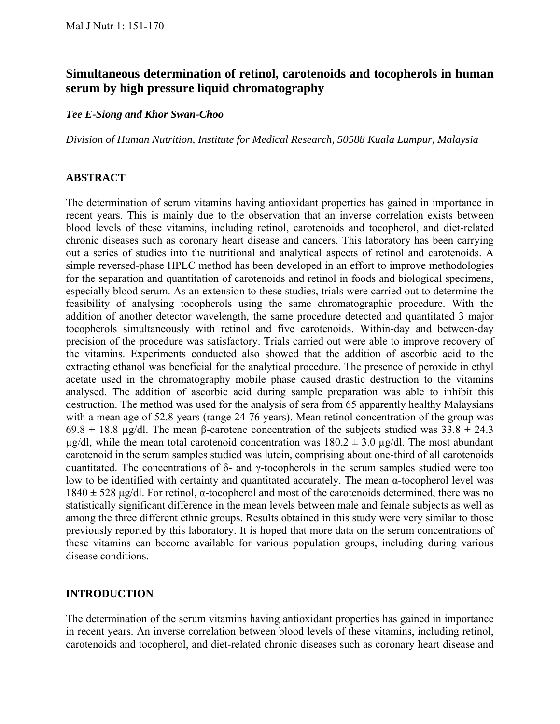# **Simultaneous determination of retinol, carotenoids and tocopherols in human serum by high pressure liquid chromatography**

#### *Tee E-Siong and Khor Swan-Choo*

*Division of Human Nutrition, Institute for Medical Research, 50588 Kuala Lumpur, Malaysia* 

### **ABSTRACT**

The determination of serum vitamins having antioxidant properties has gained in importance in recent years. This is mainly due to the observation that an inverse correlation exists between blood levels of these vitamins, including retinol, carotenoids and tocopherol, and diet-related chronic diseases such as coronary heart disease and cancers. This laboratory has been carrying out a series of studies into the nutritional and analytical aspects of retinol and carotenoids. A simple reversed-phase HPLC method has been developed in an effort to improve methodologies for the separation and quantitation of carotenoids and retinol in foods and biological specimens, especially blood serum. As an extension to these studies, trials were carried out to determine the feasibility of analysing tocopherols using the same chromatographic procedure. With the addition of another detector wavelength, the same procedure detected and quantitated 3 major tocopherols simultaneously with retinol and five carotenoids. Within-day and between-day precision of the procedure was satisfactory. Trials carried out were able to improve recovery of the vitamins. Experiments conducted also showed that the addition of ascorbic acid to the extracting ethanol was beneficial for the analytical procedure. The presence of peroxide in ethyl acetate used in the chromatography mobile phase caused drastic destruction to the vitamins analysed. The addition of ascorbic acid during sample preparation was able to inhibit this destruction. The method was used for the analysis of sera from 65 apparently healthy Malaysians with a mean age of 52.8 years (range 24-76 years). Mean retinol concentration of the group was 69.8  $\pm$  18.8 µg/dl. The mean β-carotene concentration of the subjects studied was 33.8  $\pm$  24.3  $\mu$ g/dl, while the mean total carotenoid concentration was 180.2  $\pm$  3.0  $\mu$ g/dl. The most abundant carotenoid in the serum samples studied was lutein, comprising about one-third of all carotenoids quantitated. The concentrations of δ- and γ-tocopherols in the serum samples studied were too low to be identified with certainty and quantitated accurately. The mean α-tocopherol level was  $1840 \pm 528$  µg/dl. For retinol,  $\alpha$ -tocopherol and most of the carotenoids determined, there was no statistically significant difference in the mean levels between male and female subjects as well as among the three different ethnic groups. Results obtained in this study were very similar to those previously reported by this laboratory. It is hoped that more data on the serum concentrations of these vitamins can become available for various population groups, including during various disease conditions.

### **INTRODUCTION**

The determination of the serum vitamins having antioxidant properties has gained in importance in recent years. An inverse correlation between blood levels of these vitamins, including retinol, carotenoids and tocopherol, and diet-related chronic diseases such as coronary heart disease and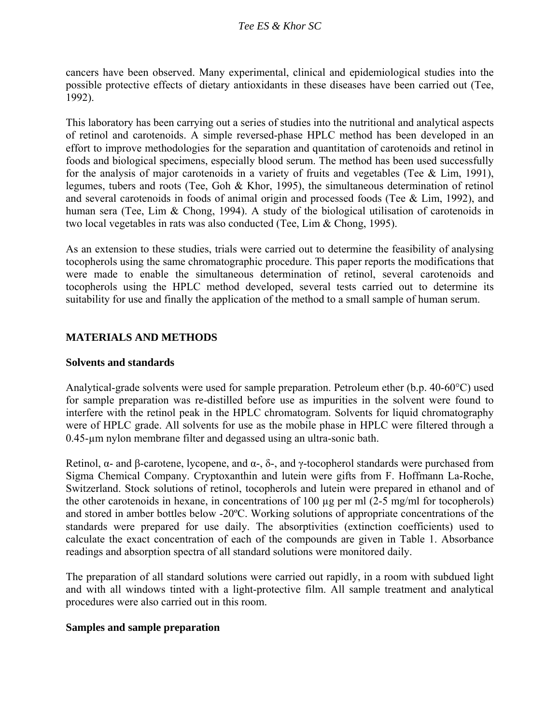cancers have been observed. Many experimental, clinical and epidemiological studies into the possible protective effects of dietary antioxidants in these diseases have been carried out (Tee, 1992).

This laboratory has been carrying out a series of studies into the nutritional and analytical aspects of retinol and carotenoids. A simple reversed-phase HPLC method has been developed in an effort to improve methodologies for the separation and quantitation of carotenoids and retinol in foods and biological specimens, especially blood serum. The method has been used successfully for the analysis of major carotenoids in a variety of fruits and vegetables (Tee  $\&$  Lim, 1991), legumes, tubers and roots (Tee, Goh & Khor, 1995), the simultaneous determination of retinol and several carotenoids in foods of animal origin and processed foods (Tee & Lim, 1992), and human sera (Tee, Lim & Chong, 1994). A study of the biological utilisation of carotenoids in two local vegetables in rats was also conducted (Tee, Lim & Chong, 1995).

As an extension to these studies, trials were carried out to determine the feasibility of analysing tocopherols using the same chromatographic procedure. This paper reports the modifications that were made to enable the simultaneous determination of retinol, several carotenoids and tocopherols using the HPLC method developed, several tests carried out to determine its suitability for use and finally the application of the method to a small sample of human serum.

## **MATERIALS AND METHODS**

## **Solvents and standards**

Analytical-grade solvents were used for sample preparation. Petroleum ether (b.p. 40-60°C) used for sample preparation was re-distilled before use as impurities in the solvent were found to interfere with the retinol peak in the HPLC chromatogram. Solvents for liquid chromatography were of HPLC grade. All solvents for use as the mobile phase in HPLC were filtered through a 0.45-µm nylon membrane filter and degassed using an ultra-sonic bath.

Retinol, α- and β-carotene, lycopene, and  $\alpha$ -, δ-, and γ-tocopherol standards were purchased from Sigma Chemical Company. Cryptoxanthin and lutein were gifts from F. Hoffmann La-Roche, Switzerland. Stock solutions of retinol, tocopherols and lutein were prepared in ethanol and of the other carotenoids in hexane, in concentrations of 100 µg per ml (2-5 mg/ml for tocopherols) and stored in amber bottles below -20ºC. Working solutions of appropriate concentrations of the standards were prepared for use daily. The absorptivities (extinction coefficients) used to calculate the exact concentration of each of the compounds are given in Table 1. Absorbance readings and absorption spectra of all standard solutions were monitored daily.

The preparation of all standard solutions were carried out rapidly, in a room with subdued light and with all windows tinted with a light-protective film. All sample treatment and analytical procedures were also carried out in this room.

### **Samples and sample preparation**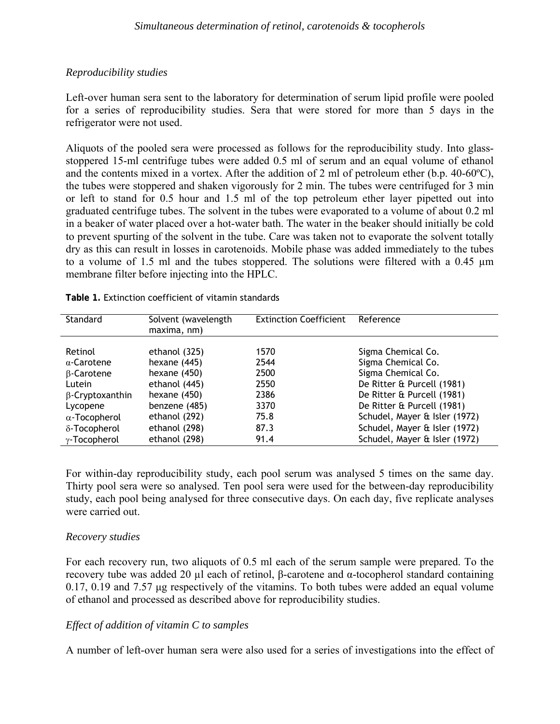## *Reproducibility studies*

Left-over human sera sent to the laboratory for determination of serum lipid profile were pooled for a series of reproducibility studies. Sera that were stored for more than 5 days in the refrigerator were not used.

Aliquots of the pooled sera were processed as follows for the reproducibility study. Into glassstoppered 15-ml centrifuge tubes were added 0.5 ml of serum and an equal volume of ethanol and the contents mixed in a vortex. After the addition of 2 ml of petroleum ether (b.p. 40-60ºC), the tubes were stoppered and shaken vigorously for 2 min. The tubes were centrifuged for 3 min or left to stand for 0.5 hour and 1.5 ml of the top petroleum ether layer pipetted out into graduated centrifuge tubes. The solvent in the tubes were evaporated to a volume of about 0.2 ml in a beaker of water placed over a hot-water bath. The water in the beaker should initially be cold to prevent spurting of the solvent in the tube. Care was taken not to evaporate the solvent totally dry as this can result in losses in carotenoids. Mobile phase was added immediately to the tubes to a volume of 1.5 ml and the tubes stoppered. The solutions were filtered with a 0.45 µm membrane filter before injecting into the HPLC.

| Standard               | Solvent (wavelength<br>maxima, nm) | <b>Extinction Coefficient</b> | Reference                     |
|------------------------|------------------------------------|-------------------------------|-------------------------------|
| Retinol                | ethanol (325)                      | 1570                          | Sigma Chemical Co.            |
| $\alpha$ -Carotene     | hexane $(445)$                     | 2544                          | Sigma Chemical Co.            |
| $\beta$ -Carotene      | hexane $(450)$                     | 2500                          | Sigma Chemical Co.            |
| Lutein                 | ethanol (445)                      | 2550                          | De Ritter & Purcell (1981)    |
| $\beta$ -Cryptoxanthin | hexane $(450)$                     | 2386                          | De Ritter & Purcell (1981)    |
| Lycopene               | benzene (485)                      | 3370                          | De Ritter & Purcell (1981)    |
| $\alpha$ -Tocopherol   | ethanol (292)                      | 75.8                          | Schudel, Mayer & Isler (1972) |
| δ-Tocopherol           | ethanol (298)                      | 87.3                          | Schudel, Mayer & Isler (1972) |
| $\gamma$ -Tocopherol   | ethanol (298)                      | 91.4                          | Schudel, Mayer & Isler (1972) |

**Table 1.** Extinction coefficient of vitamin standards

For within-day reproducibility study, each pool serum was analysed 5 times on the same day. Thirty pool sera were so analysed. Ten pool sera were used for the between-day reproducibility study, each pool being analysed for three consecutive days. On each day, five replicate analyses were carried out.

## *Recovery studies*

For each recovery run, two aliquots of 0.5 ml each of the serum sample were prepared. To the recovery tube was added 20 μl each of retinol, β-carotene and  $\alpha$ -tocopherol standard containing 0.17, 0.19 and 7.57 µg respectively of the vitamins. To both tubes were added an equal volume of ethanol and processed as described above for reproducibility studies.

## *Effect of addition of vitamin C to samples*

A number of left-over human sera were also used for a series of investigations into the effect of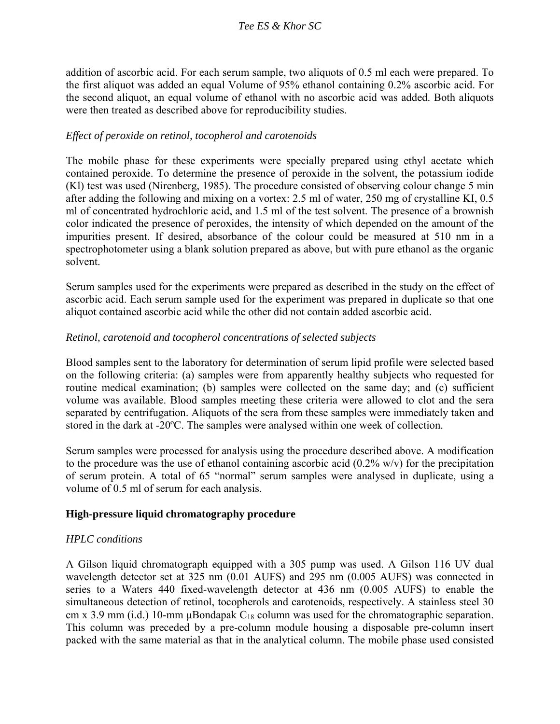addition of ascorbic acid. For each serum sample, two aliquots of 0.5 ml each were prepared. To the first aliquot was added an equal Volume of 95% ethanol containing 0.2% ascorbic acid. For the second aliquot, an equal volume of ethanol with no ascorbic acid was added. Both aliquots were then treated as described above for reproducibility studies.

## *Effect of peroxide on retinol, tocopherol and carotenoids*

The mobile phase for these experiments were specially prepared using ethyl acetate which contained peroxide. To determine the presence of peroxide in the solvent, the potassium iodide (Kl) test was used (Nirenberg, 1985). The procedure consisted of observing colour change 5 min after adding the following and mixing on a vortex: 2.5 ml of water, 250 mg of crystalline KI, 0.5 ml of concentrated hydrochloric acid, and 1.5 ml of the test solvent. The presence of a brownish color indicated the presence of peroxides, the intensity of which depended on the amount of the impurities present. If desired, absorbance of the colour could be measured at 510 nm in a spectrophotometer using a blank solution prepared as above, but with pure ethanol as the organic solvent.

Serum samples used for the experiments were prepared as described in the study on the effect of ascorbic acid. Each serum sample used for the experiment was prepared in duplicate so that one aliquot contained ascorbic acid while the other did not contain added ascorbic acid.

## *Retinol, carotenoid and tocopherol concentrations of selected subjects*

Blood samples sent to the laboratory for determination of serum lipid profile were selected based on the following criteria: (a) samples were from apparently healthy subjects who requested for routine medical examination; (b) samples were collected on the same day; and (c) sufficient volume was available. Blood samples meeting these criteria were allowed to clot and the sera separated by centrifugation. Aliquots of the sera from these samples were immediately taken and stored in the dark at -20ºC. The samples were analysed within one week of collection.

Serum samples were processed for analysis using the procedure described above. A modification to the procedure was the use of ethanol containing ascorbic acid  $(0.2\%$  w/v) for the precipitation of serum protein. A total of 65 "normal" serum samples were analysed in duplicate, using a volume of 0.5 ml of serum for each analysis.

### **High-pressure liquid chromatography procedure**

## *HPLC conditions*

A Gilson liquid chromatograph equipped with a 305 pump was used. A Gilson 116 UV dual wavelength detector set at 325 nm (0.01 AUFS) and 295 nm (0.005 AUFS) was connected in series to a Waters 440 fixed-wavelength detector at 436 nm (0.005 AUFS) to enable the simultaneous detection of retinol, tocopherols and carotenoids, respectively. A stainless steel 30 cm x 3.9 mm (i.d.) 10-mm  $\mu$ Bondapak C<sub>18</sub> column was used for the chromatographic separation. This column was preceded by a pre-column module housing a disposable pre-column insert packed with the same material as that in the analytical column. The mobile phase used consisted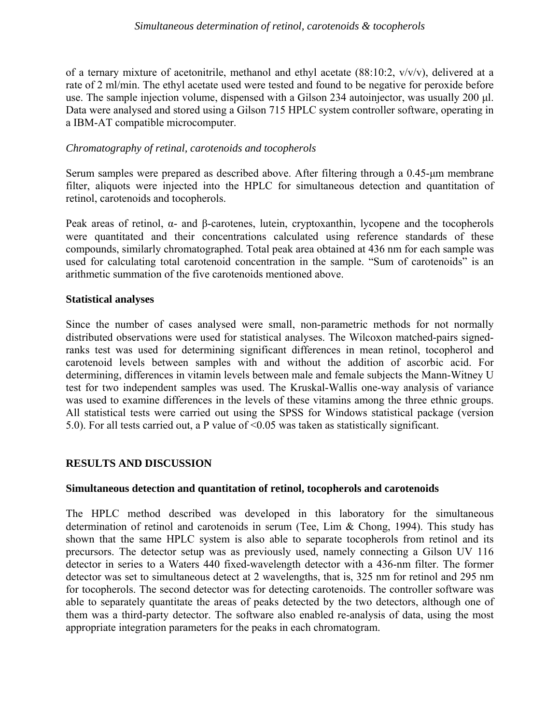#### *Simultaneous determination of retinol, carotenoids & tocopherols*

of a ternary mixture of acetonitrile, methanol and ethyl acetate (88:10:2, v/v/v), delivered at a rate of 2 ml/min. The ethyl acetate used were tested and found to be negative for peroxide before use. The sample injection volume, dispensed with a Gilson 234 autoinjector, was usually 200 µl. Data were analysed and stored using a Gilson 715 HPLC system controller software, operating in a IBM-AT compatible microcomputer.

## *Chromatography of retinal, carotenoids and tocopherols*

Serum samples were prepared as described above. After filtering through a 0.45-µm membrane filter, aliquots were injected into the HPLC for simultaneous detection and quantitation of retinol, carotenoids and tocopherols.

Peak areas of retinol, α- and β-carotenes, lutein, cryptoxanthin, lycopene and the tocopherols were quantitated and their concentrations calculated using reference standards of these compounds, similarly chromatographed. Total peak area obtained at 436 nm for each sample was used for calculating total carotenoid concentration in the sample. "Sum of carotenoids" is an arithmetic summation of the five carotenoids mentioned above.

## **Statistical analyses**

Since the number of cases analysed were small, non-parametric methods for not normally distributed observations were used for statistical analyses. The Wilcoxon matched-pairs signedranks test was used for determining significant differences in mean retinol, tocopherol and carotenoid levels between samples with and without the addition of ascorbic acid. For determining, differences in vitamin levels between male and female subjects the Mann-Witney U test for two independent samples was used. The Kruskal-Wallis one-way analysis of variance was used to examine differences in the levels of these vitamins among the three ethnic groups. All statistical tests were carried out using the SPSS for Windows statistical package (version 5.0). For all tests carried out, a P value of <0.05 was taken as statistically significant.

## **RESULTS AND DISCUSSION**

## **Simultaneous detection and quantitation of retinol, tocopherols and carotenoids**

The HPLC method described was developed in this laboratory for the simultaneous determination of retinol and carotenoids in serum (Tee, Lim & Chong, 1994). This study has shown that the same HPLC system is also able to separate tocopherols from retinol and its precursors. The detector setup was as previously used, namely connecting a Gilson UV 116 detector in series to a Waters 440 fixed-wavelength detector with a 436-nm filter. The former detector was set to simultaneous detect at 2 wavelengths, that is, 325 nm for retinol and 295 nm for tocopherols. The second detector was for detecting carotenoids. The controller software was able to separately quantitate the areas of peaks detected by the two detectors, although one of them was a third-party detector. The software also enabled re-analysis of data, using the most appropriate integration parameters for the peaks in each chromatogram.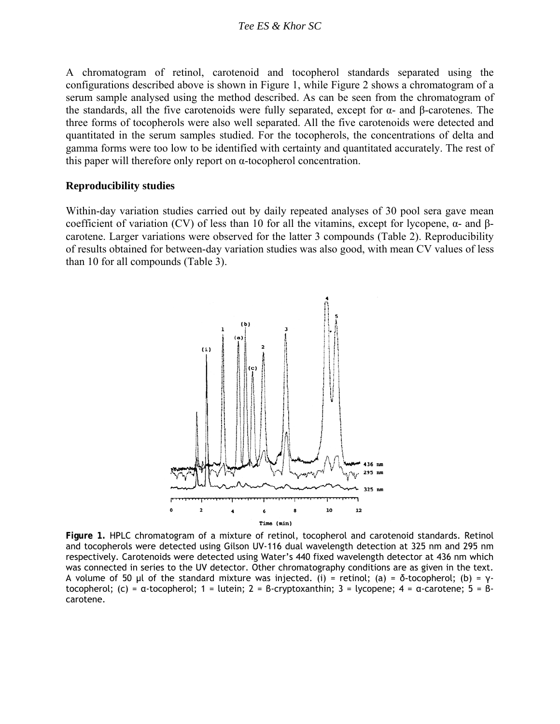#### *Tee ES & Khor SC*

A chromatogram of retinol, carotenoid and tocopherol standards separated using the configurations described above is shown in Figure 1, while Figure 2 shows a chromatogram of a serum sample analysed using the method described. As can be seen from the chromatogram of the standards, all the five carotenoids were fully separated, except for  $\alpha$ - and β-carotenes. The three forms of tocopherols were also well separated. All the five carotenoids were detected and quantitated in the serum samples studied. For the tocopherols, the concentrations of delta and gamma forms were too low to be identified with certainty and quantitated accurately. The rest of this paper will therefore only report on α-tocopherol concentration.

#### **Reproducibility studies**

Within-day variation studies carried out by daily repeated analyses of 30 pool sera gave mean coefficient of variation (CV) of less than 10 for all the vitamins, except for lycopene,  $α$ - and  $β$ carotene. Larger variations were observed for the latter 3 compounds (Table 2). Reproducibility of results obtained for between-day variation studies was also good, with mean CV values of less than 10 for all compounds (Table 3).



**Figure 1.** HPLC chromatogram of a mixture of retinol, tocopherol and carotenoid standards. Retinol and tocopherols were detected using Gilson UV-116 dual wavelength detection at 325 nm and 295 nm respectively. Carotenoids were detected using Water's 440 fixed wavelength detector at 436 nm which was connected in series to the UV detector. Other chromatography conditions are as given in the text. A volume of 50 µl of the standard mixture was injected. (i) = retinol; (a) = δ*-*tocopherol; (b) = γtocopherol; (c) = α-tocopherol; 1 = lutein; 2 = β-cryptoxanthin; 3 = lycopene; 4 = α-carotene; 5 = βcarotene.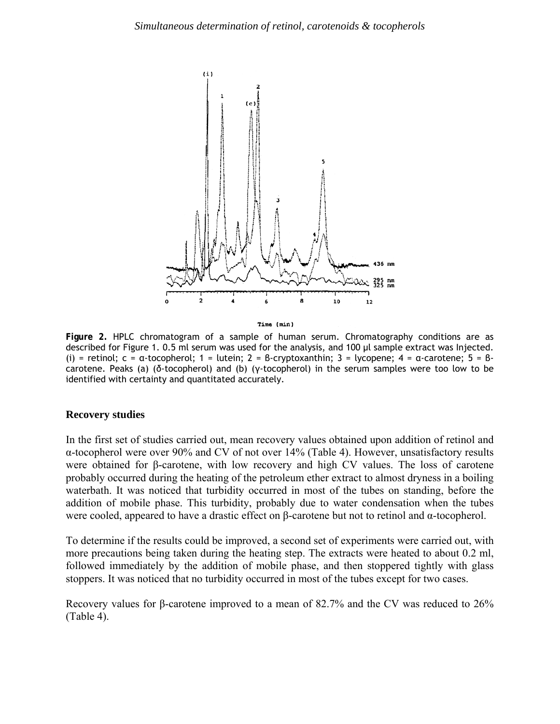

Time (min)

**Figure 2.** HPLC chromatogram of a sample of human serum. Chromatography conditions are as described for Figure 1. 0.5 ml serum was used for the analysis, and 100 µl sample extract was Injected. (i) = retinol;  $c = \alpha$ -tocopherol; 1 = lutein; 2 = β-cryptoxanthin; 3 = lycopene; 4 =  $\alpha$ -carotene; 5 = βcarotene. Peaks (a) (δ-tocopherol) and (b) (γ-tocopherol) in the serum samples were too low to be identified with certainty and quantitated accurately.

#### **Recovery studies**

In the first set of studies carried out, mean recovery values obtained upon addition of retinol and α-tocopherol were over 90% and CV of not over 14% (Table 4). However, unsatisfactory results were obtained for β-carotene, with low recovery and high CV values. The loss of carotene probably occurred during the heating of the petroleum ether extract to almost dryness in a boiling waterbath. It was noticed that turbidity occurred in most of the tubes on standing, before the addition of mobile phase. This turbidity, probably due to water condensation when the tubes were cooled, appeared to have a drastic effect on β-carotene but not to retinol and α-tocopherol.

To determine if the results could be improved, a second set of experiments were carried out, with more precautions being taken during the heating step. The extracts were heated to about 0.2 ml, followed immediately by the addition of mobile phase, and then stoppered tightly with glass stoppers. It was noticed that no turbidity occurred in most of the tubes except for two cases.

Recovery values for β-carotene improved to a mean of 82.7% and the CV was reduced to 26% (Table 4).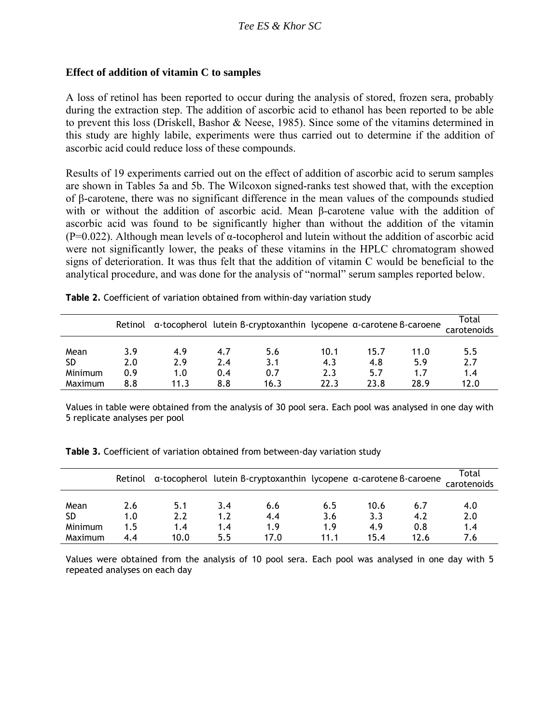## **Effect of addition of vitamin C to samples**

A loss of retinol has been reported to occur during the analysis of stored, frozen sera, probably during the extraction step. The addition of ascorbic acid to ethanol has been reported to be able to prevent this loss (Driskell, Bashor & Neese, 1985). Since some of the vitamins determined in this study are highly labile, experiments were thus carried out to determine if the addition of ascorbic acid could reduce loss of these compounds.

Results of 19 experiments carried out on the effect of addition of ascorbic acid to serum samples are shown in Tables 5a and 5b. The Wilcoxon signed-ranks test showed that, with the exception of β-carotene, there was no significant difference in the mean values of the compounds studied with or without the addition of ascorbic acid. Mean β-carotene value with the addition of ascorbic acid was found to be significantly higher than without the addition of the vitamin (P=0.022). Although mean levels of  $\alpha$ -tocopherol and lutein without the addition of ascorbic acid were not significantly lower, the peaks of these vitamins in the HPLC chromatogram showed signs of deterioration. It was thus felt that the addition of vitamin C would be beneficial to the analytical procedure, and was done for the analysis of "normal" serum samples reported below.

|                              | Retinol           |                   |                   | a-tocopherol lutein B-cryptoxanthin lycopene a-carotene B-caroene |                    |                    |                    | Total<br>carotenoids |
|------------------------------|-------------------|-------------------|-------------------|-------------------------------------------------------------------|--------------------|--------------------|--------------------|----------------------|
| Mean<br><b>SD</b><br>Minimum | 3.9<br>2.0<br>0.9 | 4.9<br>2.9<br>1.0 | 4.7<br>2.4<br>0.4 | 5.6<br>3.1<br>0.7                                                 | 10.1<br>4.3<br>2.3 | 15.7<br>4.8<br>5.7 | 11.0<br>5.9<br>1.7 | 5.5<br>2.7<br>1.4    |
| Maximum                      | 8.8               | 11.3              | 8.8               | 16.3                                                              | 22.3               | 23.8               | 28.9               | 12.0                 |

**Table 2.** Coefficient of variation obtained from within-day variation study

Values in table were obtained from the analysis of 30 pool sera. Each pool was analysed in one day with 5 replicate analyses per pool

| Table 3. Coefficient of variation obtained from between-day variation study |  |
|-----------------------------------------------------------------------------|--|
|-----------------------------------------------------------------------------|--|

|         | Retinol |      |     | a-tocopherol lutein B-cryptoxanthin lycopene a-carotene B-caroene |      |      |      | Total<br>carotenoids |
|---------|---------|------|-----|-------------------------------------------------------------------|------|------|------|----------------------|
| Mean    | 2.6     | 5.1  | 3.4 | 6.6                                                               | 6.5  | 10.6 | 6.7  | 4.0                  |
| SD      | 1.0     | 2.2  | 1.2 | 4.4                                                               | 3.6  | 3.3  | 4.2  | 2.0                  |
| Minimum | 1.5     | 1.4  | 1.4 | 1.9                                                               | 1.9  | 4.9  | 0.8  | 1.4                  |
| Maximum | 4.4     | 10.0 | 55  | 17.0                                                              | 11.1 | 15.4 | 12.6 | 7.6                  |

Values were obtained from the analysis of 10 pool sera. Each pool was analysed in one day with 5 repeated analyses on each day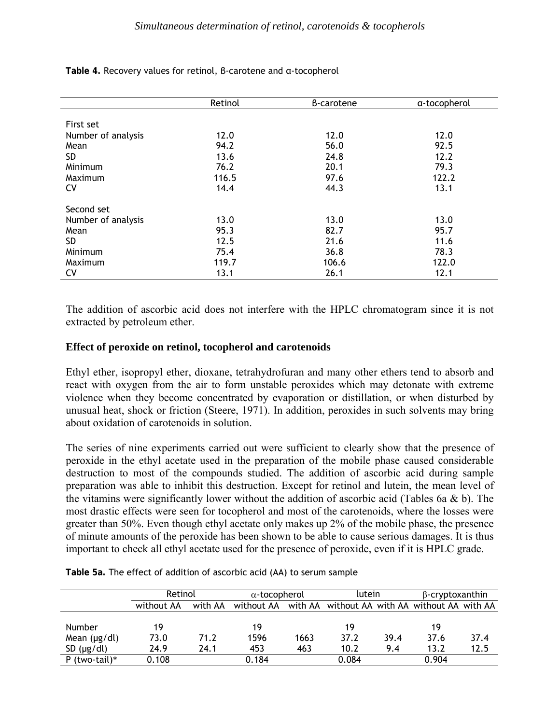|                    | Retinol | B-carotene | a-tocopherol |
|--------------------|---------|------------|--------------|
|                    |         |            |              |
| First set          |         |            |              |
| Number of analysis | 12.0    | 12.0       | 12.0         |
| Mean               | 94.2    | 56.0       | 92.5         |
| <b>SD</b>          | 13.6    | 24.8       | 12.2         |
| Minimum            | 76.2    | 20.1       | 79.3         |
| Maximum            | 116.5   | 97.6       | 122.2        |
| CV                 | 14.4    | 44.3       | 13.1         |
| Second set         |         |            |              |
| Number of analysis | 13.0    | 13.0       | 13.0         |
| Mean               | 95.3    | 82.7       | 95.7         |
| SD.                | 12.5    | 21.6       | 11.6         |
| Minimum            | 75.4    | 36.8       | 78.3         |
| Maximum            | 119.7   | 106.6      | 122.0        |
| CV                 | 13.1    | 26.1       | 12.1         |

**Table 4.** Recovery values for retinol, β-carotene and α-tocopherol

The addition of ascorbic acid does not interfere with the HPLC chromatogram since it is not extracted by petroleum ether.

### **Effect of peroxide on retinol, tocopherol and carotenoids**

Ethyl ether, isopropyl ether, dioxane, tetrahydrofuran and many other ethers tend to absorb and react with oxygen from the air to form unstable peroxides which may detonate with extreme violence when they become concentrated by evaporation or distillation, or when disturbed by unusual heat, shock or friction (Steere, 1971). In addition, peroxides in such solvents may bring about oxidation of carotenoids in solution.

The series of nine experiments carried out were sufficient to clearly show that the presence of peroxide in the ethyl acetate used in the preparation of the mobile phase caused considerable destruction to most of the compounds studied. The addition of ascorbic acid during sample preparation was able to inhibit this destruction. Except for retinol and lutein, the mean level of the vitamins were significantly lower without the addition of ascorbic acid (Tables 6a & b). The most drastic effects were seen for tocopherol and most of the carotenoids, where the losses were greater than 50%. Even though ethyl acetate only makes up 2% of the mobile phase, the presence of minute amounts of the peroxide has been shown to be able to cause serious damages. It is thus important to check all ethyl acetate used for the presence of peroxide, even if it is HPLC grade.

|                   | Retinol    |         | $\alpha$ -tocopherol                                     |      | lutein |      | $\beta$ -cryptoxanthin |      |
|-------------------|------------|---------|----------------------------------------------------------|------|--------|------|------------------------|------|
|                   | without AA | with AA | without AA with AA without AA with AA without AA with AA |      |        |      |                        |      |
|                   |            |         |                                                          |      |        |      |                        |      |
| <b>Number</b>     | 19         |         | 19                                                       |      | 19     |      | 19                     |      |
| Mean $(\mu g/dl)$ | 73.0       | 71.2    | 1596                                                     | 1663 | 37.2   | 39.4 | 37.6                   | 37.4 |
| SD $(\mu g/dl)$   | 24.9       | 24.1    | 453                                                      | 463  | 10.2   | 9.4  | 13.2                   | 12.5 |
| P (two-tail) $*$  | 0.108      |         | 0.184                                                    |      | 0.084  |      | 0.904                  |      |

**Table 5a.** The effect of addition of ascorbic acid (AA) to serum sample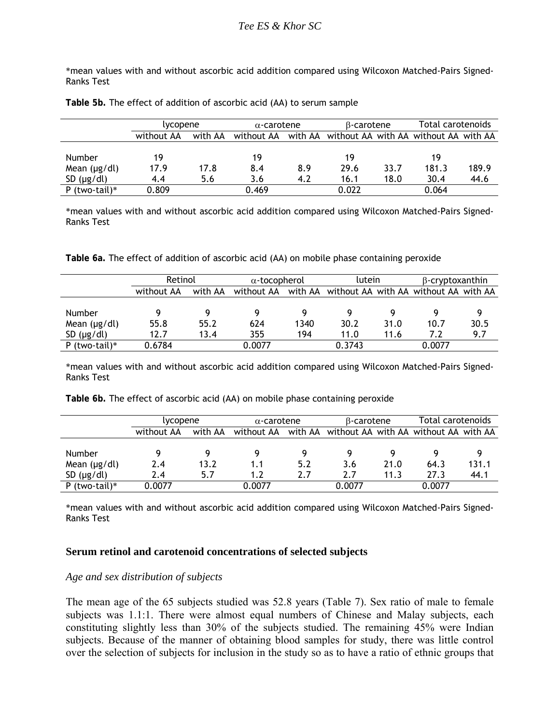\*mean values with and without ascorbic acid addition compared using Wilcoxon Matched-Pairs Signed-Ranks Test

|  |  |  |  |  |  | Table 5b. The effect of addition of ascorbic acid (AA) to serum sample |
|--|--|--|--|--|--|------------------------------------------------------------------------|
|--|--|--|--|--|--|------------------------------------------------------------------------|

|                   | lycopene   |         |            | $\alpha$ -carotene |                                               | B-carotene |       | Total carotenoids |  |
|-------------------|------------|---------|------------|--------------------|-----------------------------------------------|------------|-------|-------------------|--|
|                   | without AA | with AA | without AA |                    | with AA without AA with AA without AA with AA |            |       |                   |  |
|                   |            |         |            |                    |                                               |            |       |                   |  |
| <b>Number</b>     | 19         |         | 19         |                    | 19                                            |            | 19    |                   |  |
| Mean $(\mu g/dl)$ | 17.9       | 17.8    | 8.4        | 8.9                | 29.6                                          | 33.7       | 181.3 | 189.9             |  |
| SD $(\mu g/dl)$   | 4.4        | 5.6     | 3.6        | 4.2                | 16.1                                          | 18.0       | 30.4  | 44.6              |  |
| P (two-tail) $*$  | 0.809      |         | 0.469      |                    | 0.022                                         |            | 0.064 |                   |  |

\*mean values with and without ascorbic acid addition compared using Wilcoxon Matched-Pairs Signed-Ranks Test

**Table 6a.** The effect of addition of ascorbic acid (AA) on mobile phase containing peroxide

|                   | Retinol    |         | $\alpha$ -tocopherol |         | lutein                                |      | $\beta$ -cryptoxanthin |      |
|-------------------|------------|---------|----------------------|---------|---------------------------------------|------|------------------------|------|
|                   | without AA | with AA | without AA           | with AA | without AA with AA without AA with AA |      |                        |      |
|                   |            |         |                      |         |                                       |      |                        |      |
| <b>Number</b>     |            |         |                      |         |                                       |      |                        |      |
| Mean $(\mu g/dl)$ | 55.8       | 55.2    | 624                  | 1340    | 30.2                                  | 31.0 | 10.7                   | 30.5 |
| SD $(\mu g/dl)$   | 12.7       | 13.4    | 355                  | 194     | 11.0                                  | 11.6 | 7.2                    | 9.7  |
| P (two-tail) $*$  | 0.6784     |         | 0.0077               |         | 0.3743                                |      | 0.0077                 |      |

\*mean values with and without ascorbic acid addition compared using Wilcoxon Matched-Pairs Signed-Ranks Test

**Table 6b.** The effect of ascorbic acid (AA) on mobile phase containing peroxide

|                   | lvcopene   |         |            | $\alpha$ -carotene |                                               | B-carotene |        | Total carotenoids |  |
|-------------------|------------|---------|------------|--------------------|-----------------------------------------------|------------|--------|-------------------|--|
|                   | without AA | with AA | without AA |                    | with AA without AA with AA without AA with AA |            |        |                   |  |
|                   |            |         |            |                    |                                               |            |        |                   |  |
| <b>Number</b>     |            |         |            |                    |                                               |            |        |                   |  |
| Mean $(\mu g/dl)$ | 2.4        | 13.2    | 1.1        | 5.2                | 3.6                                           | 21.0       | 64.3   | 131.1             |  |
| SD $(\mu g/dl)$   | 2.4        | 5.7     | 1.2        | 2.7                | 2.7                                           | 11.3       | 27.3   | 44.1              |  |
| P (two-tail) $*$  | 0.0077     |         | 0.0077     |                    | 0.0077                                        |            | 0.0077 |                   |  |

\*mean values with and without ascorbic acid addition compared using Wilcoxon Matched-Pairs Signed-Ranks Test

#### **Serum retinol and carotenoid concentrations of selected subjects**

#### *Age and sex distribution of subjects*

The mean age of the 65 subjects studied was 52.8 years (Table 7). Sex ratio of male to female subjects was 1.1:1. There were almost equal numbers of Chinese and Malay subjects, each constituting slightly less than 30% of the subjects studied. The remaining 45% were Indian subjects. Because of the manner of obtaining blood samples for study, there was little control over the selection of subjects for inclusion in the study so as to have a ratio of ethnic groups that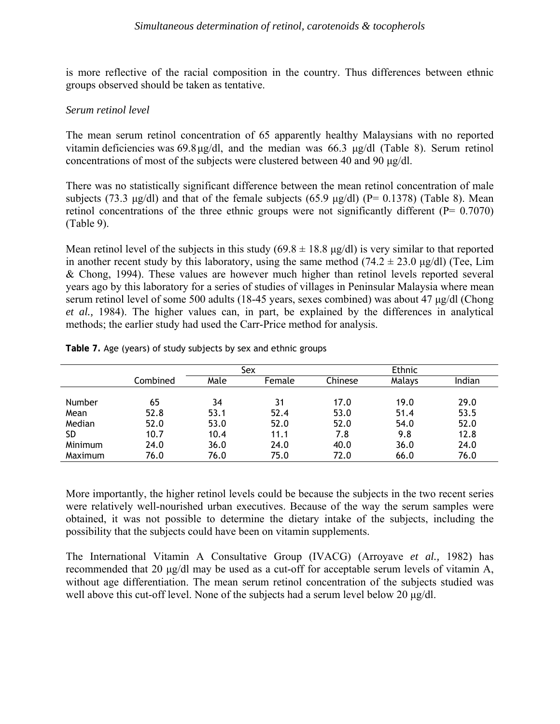is more reflective of the racial composition in the country. Thus differences between ethnic groups observed should be taken as tentative.

#### *Serum retinol level*

The mean serum retinol concentration of 65 apparently healthy Malaysians with no reported vitamin deficiencies was 69.8 µg/dl, and the median was 66.3 µg/dl (Table 8). Serum retinol concentrations of most of the subjects were clustered between 40 and 90 µg/dl.

There was no statistically significant difference between the mean retinol concentration of male subjects (73.3  $\mu$ g/dl) and that of the female subjects (65.9  $\mu$ g/dl) (P= 0.1378) (Table 8). Mean retinol concentrations of the three ethnic groups were not significantly different  $(P= 0.7070)$ (Table 9).

Mean retinol level of the subjects in this study  $(69.8 \pm 18.8 \text{ µg/dl})$  is very similar to that reported in another recent study by this laboratory, using the same method  $(74.2 \pm 23.0 \,\mu\text{g/dl})$  (Tee, Lim & Chong, 1994). These values are however much higher than retinol levels reported several years ago by this laboratory for a series of studies of villages in Peninsular Malaysia where mean serum retinol level of some 500 adults (18-45 years, sexes combined) was about 47 µg/dl (Chong *et al.,* 1984). The higher values can, in part, be explained by the differences in analytical methods; the earlier study had used the Carr-Price method for analysis.

|           |          |      | Sex    | Ethnic  |        |        |
|-----------|----------|------|--------|---------|--------|--------|
|           | Combined | Male | Female | Chinese | Malays | Indian |
|           |          |      |        |         |        |        |
| Number    | 65       | 34   | 31     | 17.0    | 19.0   | 29.0   |
| Mean      | 52.8     | 53.1 | 52.4   | 53.0    | 51.4   | 53.5   |
| Median    | 52.0     | 53.0 | 52.0   | 52.0    | 54.0   | 52.0   |
| <b>SD</b> | 10.7     | 10.4 | 11.1   | 7.8     | 9.8    | 12.8   |
| Minimum   | 24.0     | 36.0 | 24.0   | 40.0    | 36.0   | 24.0   |
| Maximum   | 76.0     | 76.0 | 75.0   | 72.0    | 66.0   | 76.0   |

**Table 7.** Age (years) of study subjects by sex and ethnic groups

More importantly, the higher retinol levels could be because the subjects in the two recent series were relatively well-nourished urban executives. Because of the way the serum samples were obtained, it was not possible to determine the dietary intake of the subjects, including the possibility that the subjects could have been on vitamin supplements.

The International Vitamin A Consultative Group (IVACG) (Arroyave *et al.,* 1982) has recommended that 20 µg/dl may be used as a cut-off for acceptable serum levels of vitamin A, without age differentiation. The mean serum retinol concentration of the subjects studied was well above this cut-off level. None of the subjects had a serum level below 20  $\mu$ g/dl.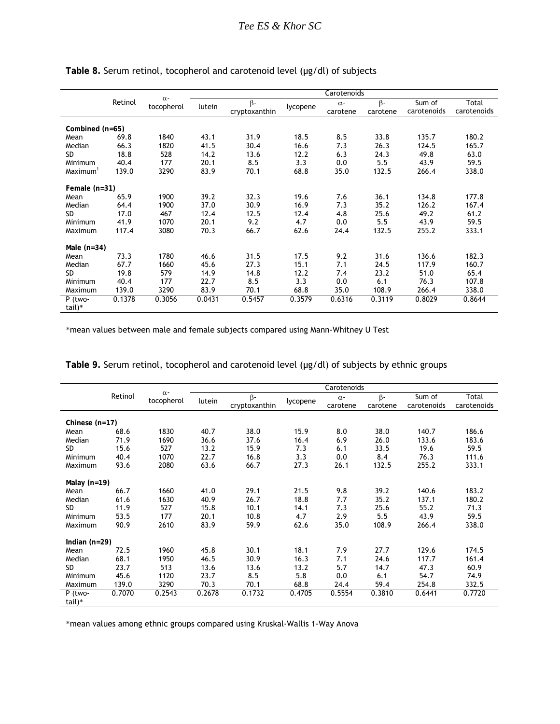|                      |         | $\alpha$ - |        |               |          | Carotenoids |           |             |             |  |
|----------------------|---------|------------|--------|---------------|----------|-------------|-----------|-------------|-------------|--|
|                      | Retinol | tocopherol | lutein | $\beta$ -     | lycopene | $\alpha$ -  | $\beta$ - | Sum of      | Total       |  |
|                      |         |            |        | cryptoxanthin |          | carotene    | carotene  | carotenoids | carotenoids |  |
|                      |         |            |        |               |          |             |           |             |             |  |
| Combined (n=65)      |         |            |        |               |          |             |           |             |             |  |
| Mean                 | 69.8    | 1840       | 43.1   | 31.9          | 18.5     | 8.5         | 33.8      | 135.7       | 180.2       |  |
| Median               | 66.3    | 1820       | 41.5   | 30.4          | 16.6     | 7.3         | 26.3      | 124.5       | 165.7       |  |
| <b>SD</b>            | 18.8    | 528        | 14.2   | 13.6          | 12.2     | 6.3         | 24.3      | 49.8        | 63.0        |  |
| Minimum              | 40.4    | 177        | 20.1   | 8.5           | 3.3      | 0.0         | 5.5       | 43.9        | 59.5        |  |
| Maximum <sup>1</sup> | 139.0   | 3290       | 83.9   | 70.1          | 68.8     | 35.0        | 132.5     | 266.4       | 338.0       |  |
| Female $(n=31)$      |         |            |        |               |          |             |           |             |             |  |
| Mean                 | 65.9    | 1900       | 39.2   | 32.3          | 19.6     | 7.6         | 36.1      | 134.8       | 177.8       |  |
| Median               | 64.4    | 1900       | 37.0   | 30.9          | 16.9     | 7.3         | 35.2      | 126.2       | 167.4       |  |
| <b>SD</b>            | 17.0    | 467        | 12.4   | 12.5          | 12.4     | 4.8         | 25.6      | 49.2        | 61.2        |  |
| Minimum              | 41.9    | 1070       | 20.1   | 9.2           | 4.7      | 0.0         | 5.5       | 43.9        | 59.5        |  |
| Maximum              | 117.4   | 3080       | 70.3   | 66.7          | 62.6     | 24.4        | 132.5     | 255.2       | 333.1       |  |
|                      |         |            |        |               |          |             |           |             |             |  |
| Male $(n=34)$        |         |            |        |               |          |             |           |             |             |  |
| Mean                 | 73.3    | 1780       | 46.6   | 31.5          | 17.5     | 9.2         | 31.6      | 136.6       | 182.3       |  |
| Median               | 67.7    | 1660       | 45.6   | 27.3          | 15.1     | 7.1         | 24.5      | 117.9       | 160.7       |  |
| <b>SD</b>            | 19.8    | 579        | 14.9   | 14.8          | 12.2     | 7.4         | 23.2      | 51.0        | 65.4        |  |
| Minimum              | 40.4    | 177        | 22.7   | 8.5           | 3.3      | 0.0         | 6.1       | 76.3        | 107.8       |  |
| Maximum              | 139.0   | 3290       | 83.9   | 70.1          | 68.8     | 35.0        | 108.9     | 266.4       | 338.0       |  |
| P (two-              | 0.1378  | 0.3056     | 0.0431 | 0.5457        | 0.3579   | 0.6316      | 0.3119    | 0.8029      | 0.8644      |  |
| tail)*               |         |            |        |               |          |             |           |             |             |  |

### Table 8. Serum retinol, tocopherol and carotenoid level (µg/dl) of subjects

\*mean values between male and female subjects compared using Mann-Whitney U Test

|                  |         | $\alpha$ -<br>tocopherol | Carotenoids |               |          |            |           |             |             |
|------------------|---------|--------------------------|-------------|---------------|----------|------------|-----------|-------------|-------------|
|                  | Retinol |                          | lutein      | $\beta$ -     | lycopene | $\alpha$ - | $\beta$ - | Sum of      | Total       |
|                  |         |                          |             | cryptoxanthin |          | carotene   | carotene  | carotenoids | carotenoids |
| Chinese $(n=17)$ |         |                          |             |               |          |            |           |             |             |
| Mean             | 68.6    | 1830                     | 40.7        | 38.0          | 15.9     | 8.0        | 38.0      | 140.7       | 186.6       |
| Median           | 71.9    | 1690                     | 36.6        | 37.6          | 16.4     | 6.9        | 26.0      | 133.6       | 183.6       |
| <b>SD</b>        | 15.6    | 527                      | 13.2        | 15.9          | 7.3      | 6.1        | 33.5      | 19.6        | 59.5        |
| Minimum          | 40.4    | 1070                     | 22.7        | 16.8          | 3.3      | 0.0        | 8.4       | 76.3        | 111.6       |
| Maximum          | 93.6    | 2080                     | 63.6        | 66.7          | 27.3     | 26.1       | 132.5     | 255.2       | 333.1       |
|                  |         |                          |             |               |          |            |           |             |             |
| Malay $(n=19)$   |         |                          |             |               |          |            |           |             |             |
| Mean             | 66.7    | 1660                     | 41.0        | 29.1          | 21.5     | 9.8        | 39.2      | 140.6       | 183.2       |
| Median           | 61.6    | 1630                     | 40.9        | 26.7          | 18.8     | 7.7        | 35.2      | 137.1       | 180.2       |
| <b>SD</b>        | 11.9    | 527                      | 15.8        | 10.1          | 14.1     | 7.3        | 25.6      | 55.2        | 71.3        |
| Minimum          | 53.5    | 177                      | 20.1        | 10.8          | 4.7      | 2.9        | 5.5       | 43.9        | 59.5        |
| Maximum          | 90.9    | 2610                     | 83.9        | 59.9          | 62.6     | 35.0       | 108.9     | 266.4       | 338.0       |
| Indian $(n=29)$  |         |                          |             |               |          |            |           |             |             |
| Mean             | 72.5    | 1960                     | 45.8        | 30.1          | 18.1     | 7.9        | 27.7      | 129.6       | 174.5       |
| Median           | 68.1    | 1950                     | 46.5        | 30.9          | 16.3     | 7.1        | 24.6      | 117.7       | 161.4       |
| <b>SD</b>        | 23.7    | 513                      | 13.6        | 13.6          | 13.2     | 5.7        | 14.7      | 47.3        | 60.9        |
| Minimum          | 45.6    | 1120                     | 23.7        | 8.5           | 5.8      | 0.0        | 6.1       | 54.7        | 74.9        |
| Maximum          | 139.0   | 3290                     | 70.3        | 70.1          | 68.8     | 24.4       | 59.4      | 254.8       | 332.5       |
| P (two-          | 0.7070  | 0.2543                   | 0.2678      | 0.1732        | 0.4705   | 0.5554     | 0.3810    | 0.6441      | 0.7720      |
| tail)*           |         |                          |             |               |          |            |           |             |             |

Table 9. Serum retinol, tocopherol and carotenoid level (µg/dl) of subjects by ethnic groups

\*mean values among ethnic groups compared using Kruskal-Wallis 1-Way Anova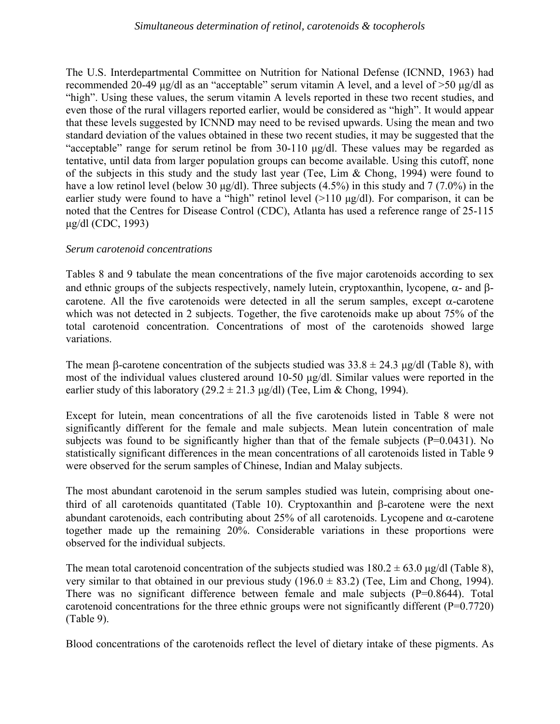#### *Simultaneous determination of retinol, carotenoids & tocopherols*

The U.S. Interdepartmental Committee on Nutrition for National Defense (ICNND, 1963) had recommended 20-49 µg/dl as an "acceptable" serum vitamin A level, and a level of >50 µg/dl as "high". Using these values, the serum vitamin A levels reported in these two recent studies, and even those of the rural villagers reported earlier, would be considered as "high". It would appear that these levels suggested by ICNND may need to be revised upwards. Using the mean and two standard deviation of the values obtained in these two recent studies, it may be suggested that the "acceptable" range for serum retinol be from 30-110 µg/dl. These values may be regarded as tentative, until data from larger population groups can become available. Using this cutoff, none of the subjects in this study and the study last year (Tee, Lim & Chong, 1994) were found to have a low retinol level (below 30  $\mu$ g/dl). Three subjects (4.5%) in this study and 7 (7.0%) in the earlier study were found to have a "high" retinol level (>110 µg/dl). For comparison, it can be noted that the Centres for Disease Control (CDC), Atlanta has used a reference range of 25-115 µg/dl (CDC, 1993)

## *Serum carotenoid concentrations*

Tables 8 and 9 tabulate the mean concentrations of the five major carotenoids according to sex and ethnic groups of the subjects respectively, namely lutein, cryptoxanthin, lycopene,  $\alpha$ - and  $\beta$ carotene. All the five carotenoids were detected in all the serum samples, except  $\alpha$ -carotene which was not detected in 2 subjects. Together, the five carotenoids make up about 75% of the total carotenoid concentration. Concentrations of most of the carotenoids showed large variations.

The mean β-carotene concentration of the subjects studied was  $33.8 \pm 24.3$  µg/dl (Table 8), with most of the individual values clustered around 10-50 µg/dl. Similar values were reported in the earlier study of this laboratory (29.2  $\pm$  21.3 µg/dl) (Tee, Lim & Chong, 1994).

Except for lutein, mean concentrations of all the five carotenoids listed in Table 8 were not significantly different for the female and male subjects. Mean lutein concentration of male subjects was found to be significantly higher than that of the female subjects  $(P=0.0431)$ . No statistically significant differences in the mean concentrations of all carotenoids listed in Table 9 were observed for the serum samples of Chinese, Indian and Malay subjects.

The most abundant carotenoid in the serum samples studied was lutein, comprising about onethird of all carotenoids quantitated (Table 10). Cryptoxanthin and β-carotene were the next abundant carotenoids, each contributing about 25% of all carotenoids. Lycopene and  $α$ -carotene together made up the remaining 20%. Considerable variations in these proportions were observed for the individual subjects.

The mean total carotenoid concentration of the subjects studied was  $180.2 \pm 63.0$  µg/dl (Table 8), very similar to that obtained in our previous study  $(196.0 \pm 83.2)$  (Tee, Lim and Chong, 1994). There was no significant difference between female and male subjects (P=0.8644). Total carotenoid concentrations for the three ethnic groups were not significantly different ( $P=0.7720$ ) (Table 9).

Blood concentrations of the carotenoids reflect the level of dietary intake of these pigments. As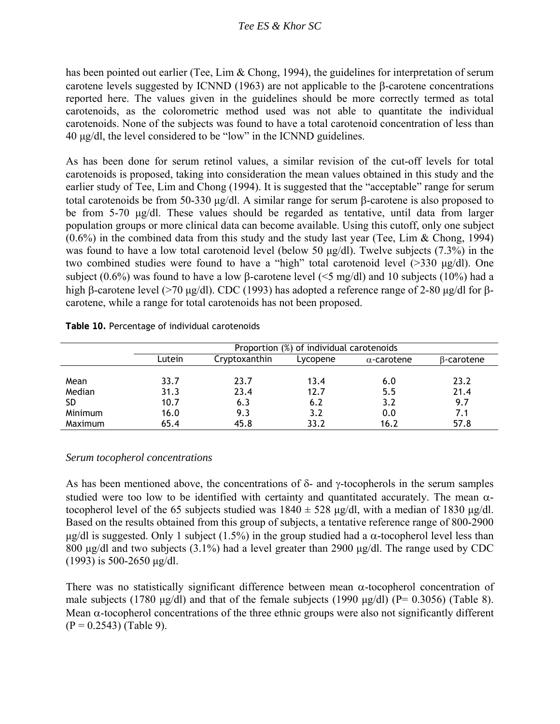has been pointed out earlier (Tee, Lim & Chong, 1994), the guidelines for interpretation of serum carotene levels suggested by ICNND (1963) are not applicable to the β-carotene concentrations reported here. The values given in the guidelines should be more correctly termed as total carotenoids, as the colorometric method used was not able to quantitate the individual carotenoids. None of the subjects was found to have a total carotenoid concentration of less than 40 µg/dl, the level considered to be "low" in the ICNND guidelines.

As has been done for serum retinol values, a similar revision of the cut-off levels for total carotenoids is proposed, taking into consideration the mean values obtained in this study and the earlier study of Tee, Lim and Chong (1994). It is suggested that the "acceptable" range for serum total carotenoids be from 50-330 µg/dl. A similar range for serum β-carotene is also proposed to be from 5-70 µg/dl. These values should be regarded as tentative, until data from larger population groups or more clinical data can become available. Using this cutoff, only one subject  $(0.6\%)$  in the combined data from this study and the study last year (Tee, Lim & Chong, 1994) was found to have a low total carotenoid level (below 50 µg/dl). Twelve subjects (7.3%) in the two combined studies were found to have a "high" total carotenoid level (>330 µg/dl). One subject (0.6%) was found to have a low β-carotene level ( $\leq$ 5 mg/dl) and 10 subjects (10%) had a high β-carotene level (>70 µg/dl). CDC (1993) has adopted a reference range of 2-80 µg/dl for βcarotene, while a range for total carotenoids has not been proposed.

|  | Table 10. Percentage of individual carotenoids |  |  |
|--|------------------------------------------------|--|--|
|--|------------------------------------------------|--|--|

|                | Proportion (%) of individual carotenoids |               |          |                    |                   |  |  |
|----------------|------------------------------------------|---------------|----------|--------------------|-------------------|--|--|
|                | Lutein                                   | Cryptoxanthin | Lycopene | $\alpha$ -carotene | $\beta$ -carotene |  |  |
|                |                                          |               |          |                    |                   |  |  |
| Mean           | 33.7                                     | 23.7          | 13.4     | 6.0                | 23.2              |  |  |
| Median         | 31.3                                     | 23.4          | 12.7     | 5.5                | 21.4              |  |  |
| <b>SD</b>      | 10.7                                     | 6.3           | 6.2      | 3.2                | 9.7               |  |  |
| <b>Minimum</b> | 16.0                                     | 9.3           | 3.2      | 0.0                | 7.1               |  |  |
| Maximum        | 65.4                                     | 45.8          | 33.2     | 16.2               | 57.8              |  |  |

### *Serum tocopherol concentrations*

As has been mentioned above, the concentrations of  $\delta$ - and  $\gamma$ -tocopherols in the serum samples studied were too low to be identified with certainty and quantitated accurately. The mean  $\alpha$ tocopherol level of the 65 subjects studied was  $1840 \pm 528 \mu g/d$ , with a median of 1830  $\mu g/d$ . Based on the results obtained from this group of subjects, a tentative reference range of 800-2900  $\mu$ g/dl is suggested. Only 1 subject (1.5%) in the group studied had a  $\alpha$ -tocopherol level less than 800  $\mu$ g/dl and two subjects (3.1%) had a level greater than 2900  $\mu$ g/dl. The range used by CDC (1993) is 500-2650 µg/dl.

There was no statistically significant difference between mean  $\alpha$ -tocopherol concentration of male subjects (1780  $\mu$ g/dl) and that of the female subjects (1990  $\mu$ g/dl) (P= 0.3056) (Table 8). Mean  $\alpha$ -tocopherol concentrations of the three ethnic groups were also not significantly different  $(P = 0.2543)$  (Table 9).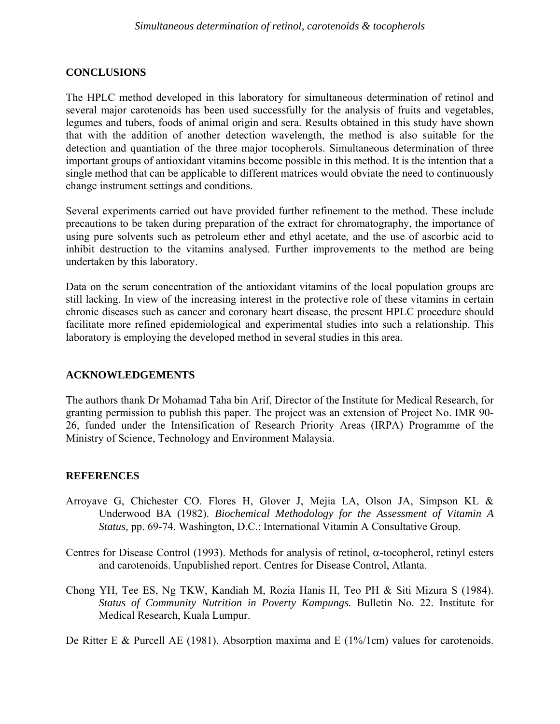## **CONCLUSIONS**

The HPLC method developed in this laboratory for simultaneous determination of retinol and several major carotenoids has been used successfully for the analysis of fruits and vegetables, legumes and tubers, foods of animal origin and sera. Results obtained in this study have shown that with the addition of another detection wavelength, the method is also suitable for the detection and quantiation of the three major tocopherols. Simultaneous determination of three important groups of antioxidant vitamins become possible in this method. It is the intention that a single method that can be applicable to different matrices would obviate the need to continuously change instrument settings and conditions.

Several experiments carried out have provided further refinement to the method. These include precautions to be taken during preparation of the extract for chromatography, the importance of using pure solvents such as petroleum ether and ethyl acetate, and the use of ascorbic acid to inhibit destruction to the vitamins analysed. Further improvements to the method are being undertaken by this laboratory.

Data on the serum concentration of the antioxidant vitamins of the local population groups are still lacking. In view of the increasing interest in the protective role of these vitamins in certain chronic diseases such as cancer and coronary heart disease, the present HPLC procedure should facilitate more refined epidemiological and experimental studies into such a relationship. This laboratory is employing the developed method in several studies in this area.

### **ACKNOWLEDGEMENTS**

The authors thank Dr Mohamad Taha bin Arif, Director of the Institute for Medical Research, for granting permission to publish this paper. The project was an extension of Project No. IMR 90- 26, funded under the Intensification of Research Priority Areas (IRPA) Programme of the Ministry of Science, Technology and Environment Malaysia.

### **REFERENCES**

- Arroyave G, Chichester CO. Flores H, Glover J, Mejia LA, Olson JA, Simpson KL & Underwood BA (1982). *Biochemical Methodology for the Assessment of Vitamin A Status,* pp. 69-74. Washington, D.C.: International Vitamin A Consultative Group.
- Centres for Disease Control (1993). Methods for analysis of retinol, α-tocopherol, retinyl esters and carotenoids. Unpublished report. Centres for Disease Control, Atlanta.
- Chong YH, Tee ES, Ng TKW, Kandiah M, Rozia Hanis H, Teo PH & Siti Mizura S (1984). *Status of Community Nutrition in Poverty Kampungs.* Bulletin No. 22. Institute for Medical Research, Kuala Lumpur.

De Ritter E & Purcell AE (1981). Absorption maxima and E (1%/1cm) values for carotenoids.